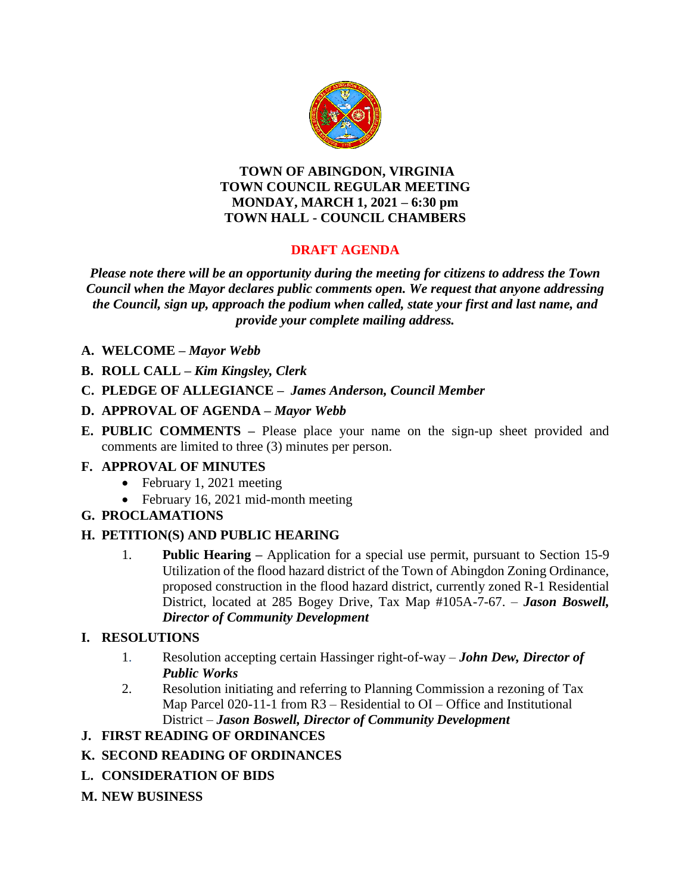

#### **TOWN OF ABINGDON, VIRGINIA TOWN COUNCIL REGULAR MEETING MONDAY, MARCH 1, 2021 – 6:30 pm TOWN HALL - COUNCIL CHAMBERS**

# **DRAFT AGENDA**

*Please note there will be an opportunity during the meeting for citizens to address the Town Council when the Mayor declares public comments open. We request that anyone addressing the Council, sign up, approach the podium when called, state your first and last name, and provide your complete mailing address.*

- **A. WELCOME –** *Mayor Webb*
- **B. ROLL CALL –** *Kim Kingsley, Clerk*
- **C. PLEDGE OF ALLEGIANCE –** *James Anderson, Council Member*

#### **D. APPROVAL OF AGENDA –** *Mayor Webb*

**E. PUBLIC COMMENTS –** Please place your name on the sign-up sheet provided and comments are limited to three (3) minutes per person.

#### **F. APPROVAL OF MINUTES**

- February 1, 2021 meeting
- February 16, 2021 mid-month meeting

### **G. PROCLAMATIONS**

### **H. PETITION(S) AND PUBLIC HEARING**

1. **Public Hearing –** Application for a special use permit, pursuant to Section 15-9 Utilization of the flood hazard district of the Town of Abingdon Zoning Ordinance, proposed construction in the flood hazard district, currently zoned R-1 Residential District, located at 285 Bogey Drive, Tax Map #105A-7-67. – *Jason Boswell, Director of Community Development*

### **I. RESOLUTIONS**

- 1. Resolution accepting certain Hassinger right-of-way *John Dew, Director of Public Works*
- 2. Resolution initiating and referring to Planning Commission a rezoning of Tax Map Parcel 020-11-1 from R3 – Residential to OI – Office and Institutional District – *Jason Boswell, Director of Community Development*

### **J. FIRST READING OF ORDINANCES**

#### **K. SECOND READING OF ORDINANCES**

- **L. CONSIDERATION OF BIDS**
- **M. NEW BUSINESS**